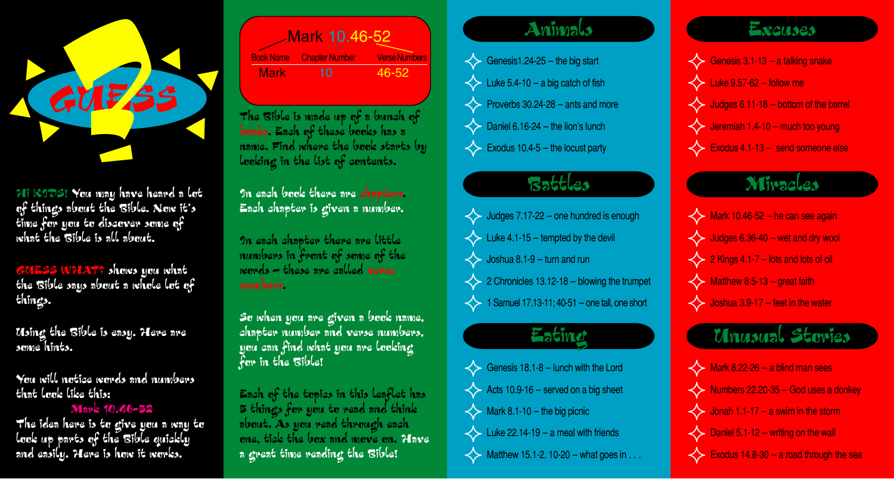

Hi KIDSI You may have heard a lot of things about the Bible. Now it's time for you to discover some of what the Bible is all about.

GUESS WHAT? shows you what the Bible says about a whole lot of things.

Using the Bible is easy. Here are some hints.

You will notice words and numbers that look like this:

#### **Mark 10.46-52**

The idea here is to give you a way to look up parts of the Bible quickly and easily. Here is how it works.

| Mark 10.46-52 |                                 |                    |
|---------------|---------------------------------|--------------------|
|               | <b>Book Name Chapter Number</b> | <b>Verse Numbe</b> |
| <b>Mark</b>   | 10                              | 46-52              |

The  $\mathcal B$ ible is made up of a bunch of books. Each of these books has a name. Find where the book starts by looking in the list of contents.

on each book there are chapters. Each chapter is given a number.

In each chapter there are little numbers in front of some of the words  $-$  these are called verse numbers.

So when you are given a book name, chapter number and verse numbers. you can find what you are looking for in the Bible!

Each of the topics in this leaflet has 5 things for you to read and think about. As you read through each one, tick the box and move on. Have a great time reading the Bible!

#### Animals

Genesis1.24-25 - the big start  $\iff$  Luke 5.4-10 - a big catch of fish  $\leftarrow$  Proverbs 30.24-28 – ants and more  $\leftrightarrow$  Daniel 6.16-24 - the lion's lunch  $\iff$  Exodus 10.4-5 – the locust party

## Battles

Judges 7.17-22 - one hundred is enough  $\iff$  Luke 4.1-15 - tempted by the devil  $\iff$  Joshua 8.1-9 – turn and run  $\leftrightarrow$  2 Chronicles 13.12-18 - blowing the trumpet  $\leftarrow$  1 Samuel 17.13-11; 40-51 - one tall, one short

# Eating

 $\iff$  Genesis 18.1-8 - lunch with the Lord  $\iff$  Acts 10.9-16 – served on a big sheet  $\iff$  Mark 8.1-10 - the big picnic  $\leftarrow$  Luke 22.14-19 - a meal with friends  $\iff$  Matthew 15.1-2, 10-20 - what goes in . . .

### Excuses

Genesis 3.1-13 - a talking snake  $\Leftrightarrow$  Luke 9.57-62 - follow me  $\leftrightarrow$  Judges 6.11-18 – bottom of the barrel  $\leftrightarrow$  Jeremiah 1.4-10 - much too young Exodus 4.1-13 - send someone else

#### Miracles

 $\leftrightarrow$  Mark 10.46-52 - he can see again  $\leftrightarrow$  Judges 6.36-40 – wet and dry wool  $\leftrightarrow$  2 Kings 4.1-7 – lots and lots of oil  $\Leftrightarrow$  Matthew 8.5-13 - great faith  $\leftrightarrow$  Joshua 3.9-17 - feet in the water

# Unusual Steries

 $\leftrightarrow$  Mark 8.22-26 - a blind man sees  $\leftrightarrow$  Numbers 22.20-35 - God uses a donkey  $\leftrightarrow$  Jonah 1.1-17 - a swim in the storm  $\leftarrow$  Daniel 5.1-12 - writing on the wall  $\leftarrow$  Exodus 14.8-30 - a road through the sea